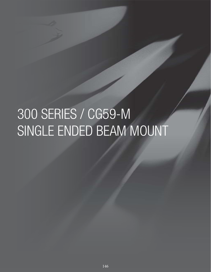# 300 SERIES / CG59-M SINGLE ENDED BEAM MOUNT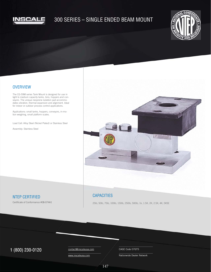

## 300 SERIES – SINGLE ENDED BEAM MOUNT



#### **OVERVIEW**

The CG-59M series Tank Mount is designed for use in light to medium capacity tanks, bins, hoppers and conveyors. The unique neoprene isolation pad accommodates vibration, thermal expansion and alignment. Ideal for indoor or outdoor process control applications.

Applications: small tanks, hoppers, conveyors, in-motion weighing, small platform scales.

Load Cell: Alloy Steel (Nickel Plated) or Stainless Steel

Assembly: Stainless Steel



### NTEP CERTIFIED

Certificate of Conformance #08-074A1

#### **CAPACITIES**

25lb, 50lb, 75lb, 100lb, 150lb, 250lb, 500lb, 1k, 1.5K, 2K, 2.5K, 4K, 5KSE

## $1 (800) 230 - 0120$  Contact@inscaleusa.com CAGE Code 07GT5

contact@inscaleusa.com

www.inscaleusa.com

Nationwide Dealer Network

147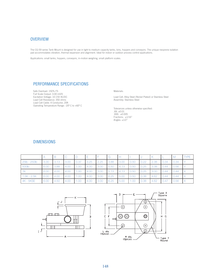#### **OVERVIEW**

The CG-59 series Tank Mount is designed for use in light to medium capacity tanks, bins, hoppers and conveyors. The unique neoprene isolation pad accommodates vibration, thermal expansion and alignment. Ideal for indoor or outdoor process control applications.

Applications: small tanks, hoppers, conveyors, in-motion weighing, small platform scales.

## PERFORMANCE SPECIFICATIONS

Safe Overload: 150% FS Full Scale Output: 3.00 mV/V Excitation Voltage: 10-15V AC/DC Load Cell Resistance: 350 ohms Load Cell Cable: 4 Conductor, 20ft Operating Temperature Range: -20º C to +60º C Materials:

Load Cell: Alloy Steel (Nickel Plated) or Stainless Steel Assembly: Stainless Steel

Tolerances unless otherwise specified: .XX: ±0.01 .XXX: ±0.005 Fractions: ±1/16" Angles:  $\pm 1/2$ "

#### DIMENSIONS

|                  |      |      |      |      |      |      | l G  |      |      |                |      |      | l M         | <b>TYPE</b> |
|------------------|------|------|------|------|------|------|------|------|------|----------------|------|------|-------------|-------------|
| 25lb - 250lb     | 4.00 | 3.13 | 3.00 | 0.37 | 3.25 | 2.25 | 3.88 | 3.00 | 0.50 | $\bigcup 0.22$ | 2.38 | 0.34 | $\mid$ 0.34 |             |
| 500lb            | 6.00 | 3.88 | 4.00 | 1.00 | 4.00 | 3.00 | 5.50 | 4.13 | 0.50 | 0.25           | 3.38 | 0.44 | 0.56        |             |
| 1K               | 6.00 | 4.00 | 4.00 | 1.00 | 4.00 | 3.00 | 5.13 | 4.13 | 0.50 | 0.25           | 3.00 | 0.44 | 0.44        |             |
| $1.5K - 2.5K$    | 6.00 | 4.00 | 4.00 | 1.00 | 4.00 | 3.00 | 6.25 | 5.00 | 0.50 | $\mid$ 0.38    | 4.62 | 0.44 | 0.44        |             |
| <b>4K - 5KSE</b> | 6.00 | 4.50 | 4.00 |      | 4.00 | 3.00 | 6.25 | 5.00 | 1.00 | 0.38           | 4.62 | 0.47 | 0.56        |             |